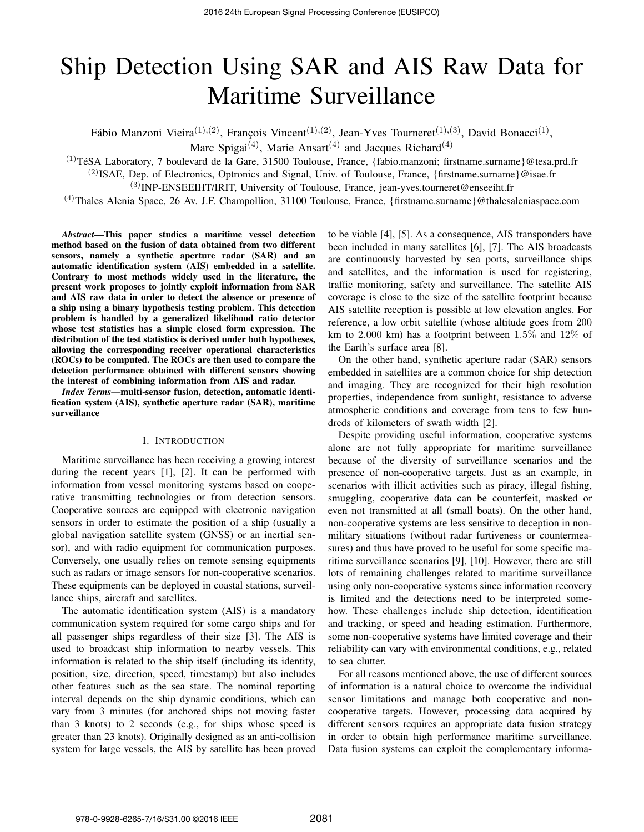# Ship Detection Using SAR and AIS Raw Data for Maritime Surveillance

Fábio Manzoni Vieira $(1),(2)$ , François Vincent $(1),(2)$ , Jean-Yves Tourneret $(1),(3)$ , David Bonacci $(1)$ ,

Marc Spigai<sup>(4)</sup>, Marie Ansart<sup>(4)</sup> and Jacques Richard<sup>(4)</sup>

 $(1)$ TéSA Laboratory, 7 boulevard de la Gare, 31500 Toulouse, France, {fabio.manzoni; firstname.surname}@tesa.prd.fr

<sup>(2)</sup>ISAE, Dep. of Electronics, Optronics and Signal, Univ. of Toulouse, France, {firstname.surname}@isae.fr

(3)INP-ENSEEIHT/IRIT, University of Toulouse, France, jean-yves.tourneret@enseeiht.fr

 $(4)$ Thales Alenia Space, 26 Av. J.F. Champollion, 31100 Toulouse, France, {firstname.surname}@thalesaleniaspace.com

*Abstract*—This paper studies a maritime vessel detection method based on the fusion of data obtained from two different sensors, namely a synthetic aperture radar (SAR) and an automatic identification system (AIS) embedded in a satellite. Contrary to most methods widely used in the literature, the present work proposes to jointly exploit information from SAR and AIS raw data in order to detect the absence or presence of a ship using a binary hypothesis testing problem. This detection problem is handled by a generalized likelihood ratio detector whose test statistics has a simple closed form expression. The distribution of the test statistics is derived under both hypotheses, allowing the corresponding receiver operational characteristics (ROCs) to be computed. The ROCs are then used to compare the detection performance obtained with different sensors showing the interest of combining information from AIS and radar.

*Index Terms*—multi-sensor fusion, detection, automatic identification system (AIS), synthetic aperture radar (SAR), maritime surveillance

## I. INTRODUCTION

Maritime surveillance has been receiving a growing interest during the recent years [1], [2]. It can be performed with information from vessel monitoring systems based on cooperative transmitting technologies or from detection sensors. Cooperative sources are equipped with electronic navigation sensors in order to estimate the position of a ship (usually a global navigation satellite system (GNSS) or an inertial sensor), and with radio equipment for communication purposes. Conversely, one usually relies on remote sensing equipments such as radars or image sensors for non-cooperative scenarios. These equipments can be deployed in coastal stations, surveillance ships, aircraft and satellites.

The automatic identification system (AIS) is a mandatory communication system required for some cargo ships and for all passenger ships regardless of their size [3]. The AIS is used to broadcast ship information to nearby vessels. This information is related to the ship itself (including its identity, position, size, direction, speed, timestamp) but also includes other features such as the sea state. The nominal reporting interval depends on the ship dynamic conditions, which can vary from 3 minutes (for anchored ships not moving faster than 3 knots) to 2 seconds (e.g., for ships whose speed is greater than 23 knots). Originally designed as an anti-collision system for large vessels, the AIS by satellite has been proved

to be viable [4], [5]. As a consequence, AIS transponders have been included in many satellites [6], [7]. The AIS broadcasts are continuously harvested by sea ports, surveillance ships and satellites, and the information is used for registering, traffic monitoring, safety and surveillance. The satellite AIS coverage is close to the size of the satellite footprint because AIS satellite reception is possible at low elevation angles. For reference, a low orbit satellite (whose altitude goes from 200 km to 2.000 km) has a footprint between 1.5% and 12% of the Earth's surface area [8].

On the other hand, synthetic aperture radar (SAR) sensors embedded in satellites are a common choice for ship detection and imaging. They are recognized for their high resolution properties, independence from sunlight, resistance to adverse atmospheric conditions and coverage from tens to few hundreds of kilometers of swath width [2].

Despite providing useful information, cooperative systems alone are not fully appropriate for maritime surveillance because of the diversity of surveillance scenarios and the presence of non-cooperative targets. Just as an example, in scenarios with illicit activities such as piracy, illegal fishing, smuggling, cooperative data can be counterfeit, masked or even not transmitted at all (small boats). On the other hand, non-cooperative systems are less sensitive to deception in nonmilitary situations (without radar furtiveness or countermeasures) and thus have proved to be useful for some specific maritime surveillance scenarios [9], [10]. However, there are still lots of remaining challenges related to maritime surveillance using only non-cooperative systems since information recovery is limited and the detections need to be interpreted somehow. These challenges include ship detection, identification and tracking, or speed and heading estimation. Furthermore, some non-cooperative systems have limited coverage and their reliability can vary with environmental conditions, e.g., related to sea clutter.

For all reasons mentioned above, the use of different sources of information is a natural choice to overcome the individual sensor limitations and manage both cooperative and noncooperative targets. However, processing data acquired by different sensors requires an appropriate data fusion strategy in order to obtain high performance maritime surveillance. Data fusion systems can exploit the complementary informa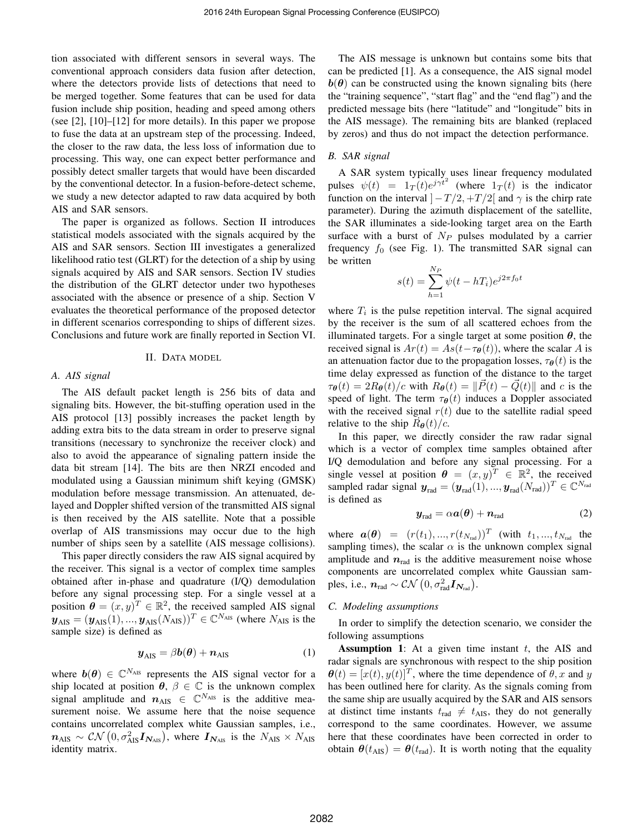tion associated with different sensors in several ways. The conventional approach considers data fusion after detection, where the detectors provide lists of detections that need to be merged together. Some features that can be used for data fusion include ship position, heading and speed among others (see [2], [10]–[12] for more details). In this paper we propose to fuse the data at an upstream step of the processing. Indeed, the closer to the raw data, the less loss of information due to processing. This way, one can expect better performance and possibly detect smaller targets that would have been discarded by the conventional detector. In a fusion-before-detect scheme, we study a new detector adapted to raw data acquired by both AIS and SAR sensors.

The paper is organized as follows. Section II introduces statistical models associated with the signals acquired by the AIS and SAR sensors. Section III investigates a generalized likelihood ratio test (GLRT) for the detection of a ship by using signals acquired by AIS and SAR sensors. Section IV studies the distribution of the GLRT detector under two hypotheses associated with the absence or presence of a ship. Section V evaluates the theoretical performance of the proposed detector in different scenarios corresponding to ships of different sizes. Conclusions and future work are finally reported in Section VI.

# II. DATA MODEL

## *A. AIS signal*

The AIS default packet length is 256 bits of data and signaling bits. However, the bit-stuffing operation used in the AIS protocol [13] possibly increases the packet length by adding extra bits to the data stream in order to preserve signal transitions (necessary to synchronize the receiver clock) and also to avoid the appearance of signaling pattern inside the data bit stream [14]. The bits are then NRZI encoded and modulated using a Gaussian minimum shift keying (GMSK) modulation before message transmission. An attenuated, delayed and Doppler shifted version of the transmitted AIS signal is then received by the AIS satellite. Note that a possible overlap of AIS transmissions may occur due to the high number of ships seen by a satellite (AIS message collisions).

This paper directly considers the raw AIS signal acquired by the receiver. This signal is a vector of complex time samples obtained after in-phase and quadrature (I/Q) demodulation before any signal processing step. For a single vessel at a position  $\boldsymbol{\theta} = (x, y)^T \in \mathbb{R}^2$ , the received sampled AIS signal  $\mathbf{y}_{\text{AIS}} = (\mathbf{y}_{\text{AIS}}(1), ..., \mathbf{y}_{\text{AIS}}(N_{\text{AIS}}))^T \in \mathbb{C}^{N_{\text{AIS}}}$  (where  $N_{\text{AIS}}$  is the sample size) is defined as

$$
\boldsymbol{y}_{\text{AIS}} = \beta \boldsymbol{b}(\boldsymbol{\theta}) + \boldsymbol{n}_{\text{AIS}} \tag{1}
$$

where  $b(\theta) \in \mathbb{C}^{N_{\text{AIS}}}$  represents the AIS signal vector for a ship located at position  $\theta$ ,  $\beta \in \mathbb{C}$  is the unknown complex signal amplitude and  $n_{\text{AIS}} \in \mathbb{C}^{N_{\text{AIS}}}$  is the additive measurement noise. We assume here that the noise sequence contains uncorrelated complex white Gaussian samples, i.e.,  $n_{\rm AIS} \sim \mathcal{CN}\left(0, \sigma_{\rm AIS}^2 \boldsymbol{I}_{N_{\rm AIS}}\right)$ , where  $\boldsymbol{I}_{N_{\rm AIS}}$  is the  $N_{\rm AIS} \times N_{\rm AIS}$ identity matrix.

The AIS message is unknown but contains some bits that can be predicted [1]. As a consequence, the AIS signal model  $b(\theta)$  can be constructed using the known signaling bits (here the "training sequence", "start flag" and the "end flag") and the predicted message bits (here "latitude" and "longitude" bits in the AIS message). The remaining bits are blanked (replaced by zeros) and thus do not impact the detection performance.

## *B. SAR signal*

A SAR system typically uses linear frequency modulated pulses  $\psi(t) = 1_T(t)e^{j\gamma t^2}$  (where  $1_T(t)$  is the indicator function on the interval  $]-T/2, +T/2[$  and  $\gamma$  is the chirp rate parameter). During the azimuth displacement of the satellite, the SAR illuminates a side-looking target area on the Earth surface with a burst of  $N_P$  pulses modulated by a carrier frequency  $f_0$  (see Fig. 1). The transmitted SAR signal can be written

$$
s(t) = \sum_{h=1}^{N_P} \psi(t - hT_i)e^{j2\pi f_0 t}
$$

where  $T_i$  is the pulse repetition interval. The signal acquired by the receiver is the sum of all scattered echoes from the illuminated targets. For a single target at some position  $\theta$ , the received signal is  $Ar(t) = As(t-\tau_{\theta}(t))$ , where the scalar A is an attenuation factor due to the propagation losses,  $\tau_{\theta}(t)$  is the time delay expressed as function of the distance to the target  $\tau_{\theta}(t) = 2R_{\theta}(t)/c$  with  $R_{\theta}(t) = ||\vec{P}(t) - \vec{Q}(t)||$  and c is the speed of light. The term  $\tau_{\theta}(t)$  induces a Doppler associated with the received signal  $r(t)$  due to the satellite radial speed relative to the ship  $\vec{R}_{\theta}(t)/c$ .

In this paper, we directly consider the raw radar signal which is a vector of complex time samples obtained after I/Q demodulation and before any signal processing. For a single vessel at position  $\theta = (x, y)^T \in \mathbb{R}^2$ , the received sampled radar signal  $y_{rad} = (y_{rad}(1), ..., y_{rad}(N_{rad}))^T \in \mathbb{C}^{N_{rad}}$ is defined as

$$
\boldsymbol{y}_{\text{rad}} = \alpha \boldsymbol{a}(\boldsymbol{\theta}) + \boldsymbol{n}_{\text{rad}} \tag{2}
$$

where  $a(\theta) = (r(t_1), ..., r(t_{N_{\text{rad}}}))^T$  (with  $t_1, ..., t_{N_{\text{rad}}}$  the sampling times), the scalar  $\alpha$  is the unknown complex signal amplitude and  $n_{rad}$  is the additive measurement noise whose components are uncorrelated complex white Gaussian samples, i.e.,  $n_{\rm rad} \sim \mathcal{CN}\left(0, \sigma_{\rm rad}^2 \bm{I}_{\bm{N}_{\rm rad}}\right)$ .

## *C. Modeling assumptions*

In order to simplify the detection scenario, we consider the following assumptions

**Assumption 1:** At a given time instant  $t$ , the AIS and radar signals are synchronous with respect to the ship position  $\boldsymbol{\theta}(t) = [x(t), y(t)]^T$ , where the time dependence of  $\theta$ , x and y has been outlined here for clarity. As the signals coming from the same ship are usually acquired by the SAR and AIS sensors at distinct time instants  $t_{\text{rad}} \neq t_{\text{AIS}}$ , they do not generally correspond to the same coordinates. However, we assume here that these coordinates have been corrected in order to obtain  $\theta(t_{\text{AIS}}) = \theta(t_{\text{rad}})$ . It is worth noting that the equality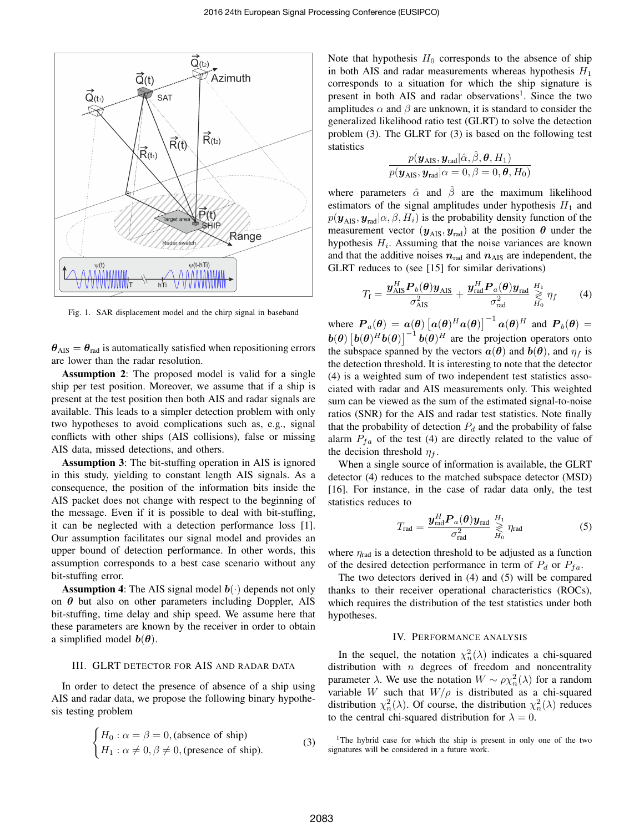

Fig. 1. SAR displacement model and the chirp signal in baseband

 $\theta_{\text{AIS}} = \theta_{\text{rad}}$  is automatically satisfied when repositioning errors are lower than the radar resolution.

Assumption 2: The proposed model is valid for a single ship per test position. Moreover, we assume that if a ship is present at the test position then both AIS and radar signals are available. This leads to a simpler detection problem with only two hypotheses to avoid complications such as, e.g., signal conflicts with other ships (AIS collisions), false or missing AIS data, missed detections, and others.

Assumption 3: The bit-stuffing operation in AIS is ignored in this study, yielding to constant length AIS signals. As a consequence, the position of the information bits inside the AIS packet does not change with respect to the beginning of the message. Even if it is possible to deal with bit-stuffing, it can be neglected with a detection performance loss [1]. Our assumption facilitates our signal model and provides an upper bound of detection performance. In other words, this assumption corresponds to a best case scenario without any bit-stuffing error.

**Assumption 4:** The AIS signal model  $b(\cdot)$  depends not only on  $\theta$  but also on other parameters including Doppler, AIS bit-stuffing, time delay and ship speed. We assume here that these parameters are known by the receiver in order to obtain a simplified model  $b(\theta)$ .

## III. GLRT DETECTOR FOR AIS AND RADAR DATA

In order to detect the presence of absence of a ship using AIS and radar data, we propose the following binary hypothesis testing problem

$$
\begin{cases}\nH_0: \alpha = \beta = 0, \text{(absence of ship)} \\
H_1: \alpha \neq 0, \beta \neq 0, \text{(presence of ship)}.\n\end{cases}
$$
\n(3)

Note that hypothesis  $H_0$  corresponds to the absence of ship in both AIS and radar measurements whereas hypothesis  $H_1$ corresponds to a situation for which the ship signature is present in both AIS and radar observations<sup>1</sup>. Since the two amplitudes  $\alpha$  and  $\beta$  are unknown, it is standard to consider the generalized likelihood ratio test (GLRT) to solve the detection problem (3). The GLRT for (3) is based on the following test statistics

$$
\frac{p(\boldsymbol{y}_{\text{AIS}},\boldsymbol{y}_{\text{rad}}|\hat{\alpha},\hat{\beta},\boldsymbol{\theta},H_1)}{p(\boldsymbol{y}_{\text{AIS}},\boldsymbol{y}_{\text{rad}}|\alpha=0,\beta=0,\boldsymbol{\theta},H_0)}
$$

where parameters  $\hat{\alpha}$  and  $\hat{\beta}$  are the maximum likelihood estimators of the signal amplitudes under hypothesis  $H_1$  and  $p(\mathbf{y}_{\text{AIS}}, \mathbf{y}_{\text{rad}} | \alpha, \beta, H_i)$  is the probability density function of the measurement vector  $(\mathbf{y}_{\text{AIS}}, \mathbf{y}_{\text{rad}})$  at the position  $\theta$  under the hypothesis  $H_i$ . Assuming that the noise variances are known and that the additive noises  $n_{rad}$  and  $n_{AIS}$  are independent, the GLRT reduces to (see [15] for similar derivations)

$$
T_{\rm f} = \frac{\boldsymbol{y}_{\rm AIS}^H \boldsymbol{P}_b(\boldsymbol{\theta}) \boldsymbol{y}_{\rm AIS}}{\sigma_{\rm AIS}^2} + \frac{\boldsymbol{y}_{\rm rad}^H \boldsymbol{P}_a(\boldsymbol{\theta}) \boldsymbol{y}_{\rm rad}}{\sigma_{\rm rad}^2} \overset{H_1}{\underset{H_0}{\geq}} \eta_f \qquad (4)
$$

where  $\mathbf{P}_a(\theta) = \mathbf{a}(\theta) \left[ \mathbf{a}(\theta)^H \mathbf{a}(\theta) \right]^{-1} \mathbf{a}(\theta)^H$  and  $\mathbf{P}_b(\theta) =$  $\mathbf{b}(\theta) \left[ \mathbf{b}(\theta)^H \mathbf{b}(\theta) \right]^{-1} \mathbf{b}(\theta)^H$  are the projection operators onto the subspace spanned by the vectors  $a(\theta)$  and  $b(\theta)$ , and  $\eta_f$  is the detection threshold. It is interesting to note that the detector (4) is a weighted sum of two independent test statistics associated with radar and AIS measurements only. This weighted sum can be viewed as the sum of the estimated signal-to-noise ratios (SNR) for the AIS and radar test statistics. Note finally that the probability of detection  $P_d$  and the probability of false alarm  $P_{fa}$  of the test (4) are directly related to the value of the decision threshold  $\eta_f$ .

When a single source of information is available, the GLRT detector (4) reduces to the matched subspace detector (MSD) [16]. For instance, in the case of radar data only, the test statistics reduces to

$$
T_{\rm rad} = \frac{\mathbf{y}_{\rm rad}^H \mathbf{P}_a(\boldsymbol{\theta}) \mathbf{y}_{\rm rad}}{\sigma_{\rm rad}^2} \underset{H_0}{\overset{H_1}{\gtrless}} \eta_{\rm rad}
$$
(5)

where  $\eta_{\text{rad}}$  is a detection threshold to be adjusted as a function of the desired detection performance in term of  $P_d$  or  $P_{fa}$ .

The two detectors derived in (4) and (5) will be compared thanks to their receiver operational characteristics (ROCs), which requires the distribution of the test statistics under both hypotheses.

#### IV. PERFORMANCE ANALYSIS

In the sequel, the notation  $\chi_n^2(\lambda)$  indicates a chi-squared distribution with  $n$  degrees of freedom and noncentrality parameter  $\lambda$ . We use the notation  $W \sim \rho \chi_n^2(\lambda)$  for a random variable W such that  $W/\rho$  is distributed as a chi-squared distribution  $\chi_n^2(\lambda)$ . Of course, the distribution  $\chi_n^2(\lambda)$  reduces to the central chi-squared distribution for  $\lambda = 0$ .

<sup>1</sup>The hybrid case for which the ship is present in only one of the two signatures will be considered in a future work.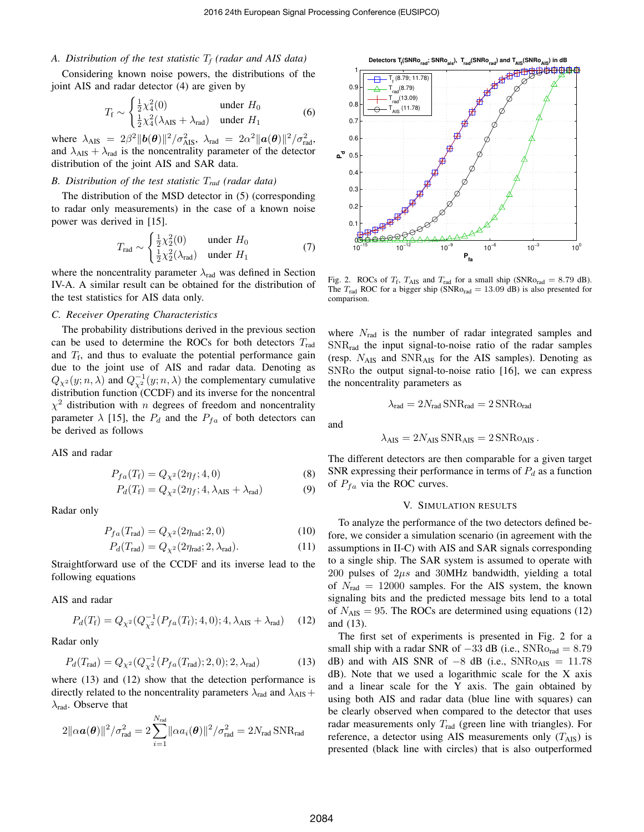# *A. Distribution of the test statistic* T*<sup>f</sup> (radar and AIS data)*

Considering known noise powers, the distributions of the joint AIS and radar detector (4) are given by

$$
T_{\rm f} \sim \begin{cases} \frac{1}{2}\chi_{4}^{2}(0) & \text{under } H_{0} \\ \frac{1}{2}\chi_{4}^{2}(\lambda_{\rm AIS} + \lambda_{\rm rad}) & \text{under } H_{1} \end{cases}
$$
 (6)

where  $\lambda_{\text{AIS}} = 2\beta^2 \|\bm{b}(\bm{\theta})\|^2 / \sigma_{\text{AIS}}^2$ ,  $\lambda_{\text{rad}} = 2\alpha^2 \|\bm{a}(\bm{\theta})\|^2 / \sigma_{\text{rad}}^2$ , and  $\lambda_{\text{AIS}} + \lambda_{\text{rad}}$  is the noncentrality parameter of the detector distribution of the joint AIS and SAR data.

## *B. Distribution of the test statistic* T*rad (radar data)*

The distribution of the MSD detector in (5) (corresponding to radar only measurements) in the case of a known noise power was derived in [15].

$$
T_{\rm rad} \sim \begin{cases} \frac{1}{2}\chi_2^2(0) & \text{under } H_0\\ \frac{1}{2}\chi_2^2(\lambda_{\rm rad}) & \text{under } H_1 \end{cases} \tag{7}
$$

where the noncentrality parameter  $\lambda_{rad}$  was defined in Section IV-A. A similar result can be obtained for the distribution of the test statistics for AIS data only.

# *C. Receiver Operating Characteristics*

The probability distributions derived in the previous section can be used to determine the ROCs for both detectors  $T_{rad}$ and  $T_f$ , and thus to evaluate the potential performance gain due to the joint use of AIS and radar data. Denoting as  $Q_{\chi^2}(y;n,\lambda)$  and  $Q_{\chi^2}^{-1}(y;n,\lambda)$  the complementary cumulative distribution function (CCDF) and its inverse for the noncentral  $\chi^2$  distribution with *n* degrees of freedom and noncentrality parameter  $\lambda$  [15], the  $P_d$  and the  $P_{fa}$  of both detectors can be derived as follows

AIS and radar

$$
P_{fa}(T_{\rm f}) = Q_{\chi^2}(2\eta_f; 4, 0)
$$
\n(8)

$$
P_d(T_{\rm f}) = Q_{\chi^2}(2\eta_f; 4, \lambda_{\rm AIS} + \lambda_{\rm rad})
$$
 (9)

Radar only

$$
P_{fa}(T_{\rm rad}) = Q_{\chi^2}(2\eta_{\rm rad}; 2, 0) \tag{10}
$$

$$
P_d(T_{\text{rad}}) = Q_{\chi^2}(2\eta_{\text{rad}}; 2, \lambda_{\text{rad}}). \tag{11}
$$

Straightforward use of the CCDF and its inverse lead to the following equations

AIS and radar

$$
P_d(T_{\rm f}) = Q_{\chi^2}(Q_{\chi^2}^{-1}(P_{fa}(T_{\rm f}); 4, 0); 4, \lambda_{\rm AIS} + \lambda_{\rm rad})
$$
 (12)

Radar only

$$
P_d(T_{\rm rad}) = Q_{\chi^2}(Q_{\chi^2}^{-1}(P_{fa}(T_{\rm rad}); 2, 0); 2, \lambda_{\rm rad})
$$
 (13)

where  $(13)$  and  $(12)$  show that the detection performance is directly related to the noncentrality parameters  $\lambda_{rad}$  and  $\lambda_{AIS}$  +  $\lambda_{\text{rad}}$ . Observe that

$$
2\|\alpha \boldsymbol{a}(\boldsymbol{\theta})\|^2/\sigma_{\text{rad}}^2 = 2\sum_{i=1}^{N_{\text{rad}}} \|\alpha a_i(\boldsymbol{\theta})\|^2/\sigma_{\text{rad}}^2 = 2N_{\text{rad}} \text{SNR}_{\text{rad}}
$$



Fig. 2. ROCs of  $T_f$ ,  $T_{\text{AIS}}$  and  $T_{\text{rad}}$  for a small ship (SNRo<sub>rad</sub> = 8.79 dB). The  $T_{\text{rad}}$  ROC for a bigger ship (SNRo<sub>rad</sub> = 13.09 dB) is also presented for comparison.

where  $N_{\text{rad}}$  is the number of radar integrated samples and SNRrad the input signal-to-noise ratio of the radar samples (resp.  $N_{\text{AIS}}$  and  $\text{SNR}_{\text{AIS}}$  for the AIS samples). Denoting as SNRo the output signal-to-noise ratio [16], we can express the noncentrality parameters as

$$
\lambda_{\rm rad}=2N_{\rm rad}\,{\rm SNR}_{\rm rad}=2\,{\rm SNRo}_{\rm rad}
$$

and

$$
\lambda_{\text{AIS}} = 2 N_{\text{AIS}} \, \text{SNR}_{\text{AIS}} = 2 \, \text{SNRo}_{\text{AIS}} \, .
$$

The different detectors are then comparable for a given target SNR expressing their performance in terms of  $P_d$  as a function of  $P_{fa}$  via the ROC curves.

## V. SIMULATION RESULTS

To analyze the performance of the two detectors defined before, we consider a simulation scenario (in agreement with the assumptions in II-C) with AIS and SAR signals corresponding to a single ship. The SAR system is assumed to operate with 200 pulses of  $2\mu s$  and 30MHz bandwidth, yielding a total of  $N_{\text{rad}} = 12000$  samples. For the AIS system, the known signaling bits and the predicted message bits lend to a total of  $N_{\text{AIS}} = 95$ . The ROCs are determined using equations (12) and (13).

The first set of experiments is presented in Fig. 2 for a small ship with a radar SNR of  $-33$  dB (i.e., SNR $o_{rad} = 8.79$ dB) and with AIS SNR of  $-8$  dB (i.e., SNRo<sub>AIS</sub> = 11.78 dB). Note that we used a logarithmic scale for the X axis and a linear scale for the Y axis. The gain obtained by using both AIS and radar data (blue line with squares) can be clearly observed when compared to the detector that uses radar measurements only  $T_{\text{rad}}$  (green line with triangles). For reference, a detector using AIS measurements only  $(T_{\text{AIS}})$  is presented (black line with circles) that is also outperformed